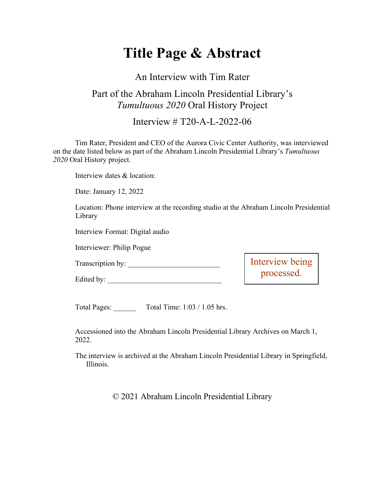# **Title Page & Abstract**

#### An Interview with Tim Rater

### Part of the Abraham Lincoln Presidential Library's *Tumultuous 2020* Oral History Project

Interview # T20-A-L-2022-06

Tim Rater, President and CEO of the Aurora Civic Center Authority, was interviewed on the date listed below as part of the Abraham Lincoln Presidential Library's *Tumultuous 2020* Oral History project.

Interview dates & location:

Date: January 12, 2022

Location: Phone interview at the recording studio at the Abraham Lincoln Presidential Library

Interview Format: Digital audio

Interviewer: Philip Pogue

Transcription by:

Edited by: \_\_\_\_\_\_\_\_\_\_\_\_\_\_\_\_\_\_\_\_\_\_\_\_\_\_\_\_\_\_\_

Interview being processed.

Total Pages: \_\_\_\_\_\_ Total Time: 1:03 / 1.05 hrs.

Accessioned into the Abraham Lincoln Presidential Library Archives on March 1, 2022.

The interview is archived at the Abraham Lincoln Presidential Library in Springfield, Illinois.

© 2021 Abraham Lincoln Presidential Library